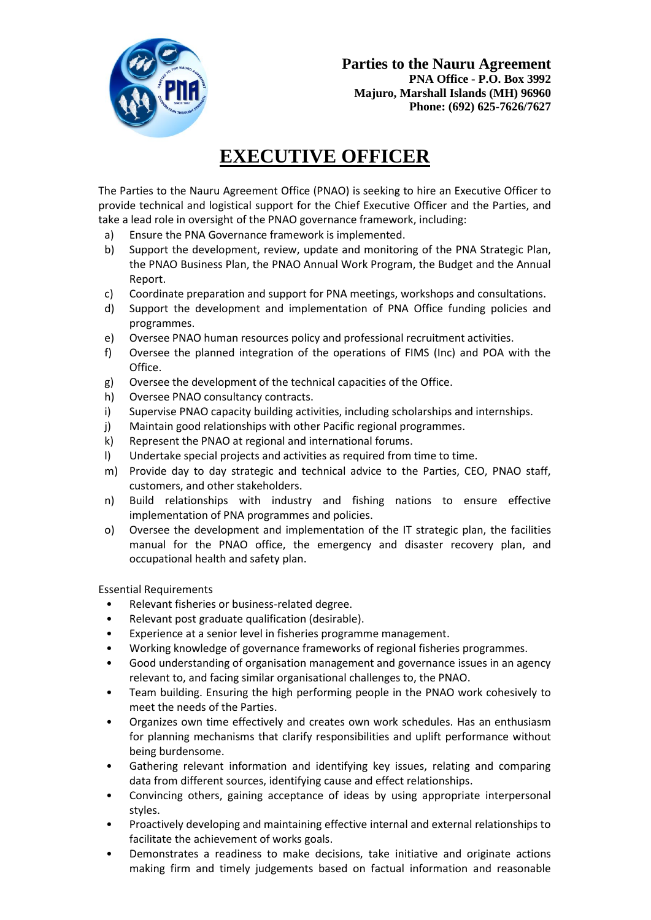

## **EXECUTIVE OFFICER**

The Parties to the Nauru Agreement Office (PNAO) is seeking to hire an Executive Officer to provide technical and logistical support for the Chief Executive Officer and the Parties, and take a lead role in oversight of the PNAO governance framework, including:

- a) Ensure the PNA Governance framework is implemented.
- b) Support the development, review, update and monitoring of the PNA Strategic Plan, the PNAO Business Plan, the PNAO Annual Work Program, the Budget and the Annual Report.
- c) Coordinate preparation and support for PNA meetings, workshops and consultations.
- d) Support the development and implementation of PNA Office funding policies and programmes.
- e) Oversee PNAO human resources policy and professional recruitment activities.
- f) Oversee the planned integration of the operations of FIMS (Inc) and POA with the Office.
- g) Oversee the development of the technical capacities of the Office.
- h) Oversee PNAO consultancy contracts.
- i) Supervise PNAO capacity building activities, including scholarships and internships.
- j) Maintain good relationships with other Pacific regional programmes.
- k) Represent the PNAO at regional and international forums.
- l) Undertake special projects and activities as required from time to time.
- m) Provide day to day strategic and technical advice to the Parties, CEO, PNAO staff, customers, and other stakeholders.
- n) Build relationships with industry and fishing nations to ensure effective implementation of PNA programmes and policies.
- o) Oversee the development and implementation of the IT strategic plan, the facilities manual for the PNAO office, the emergency and disaster recovery plan, and occupational health and safety plan.

Essential Requirements

- Relevant fisheries or business-related degree.
- Relevant post graduate qualification (desirable).
- Experience at a senior level in fisheries programme management.
- Working knowledge of governance frameworks of regional fisheries programmes.
- Good understanding of organisation management and governance issues in an agency relevant to, and facing similar organisational challenges to, the PNAO.
- Team building. Ensuring the high performing people in the PNAO work cohesively to meet the needs of the Parties.
- Organizes own time effectively and creates own work schedules. Has an enthusiasm for planning mechanisms that clarify responsibilities and uplift performance without being burdensome.
- Gathering relevant information and identifying key issues, relating and comparing data from different sources, identifying cause and effect relationships.
- Convincing others, gaining acceptance of ideas by using appropriate interpersonal styles.
- Proactively developing and maintaining effective internal and external relationships to facilitate the achievement of works goals.
- Demonstrates a readiness to make decisions, take initiative and originate actions making firm and timely judgements based on factual information and reasonable